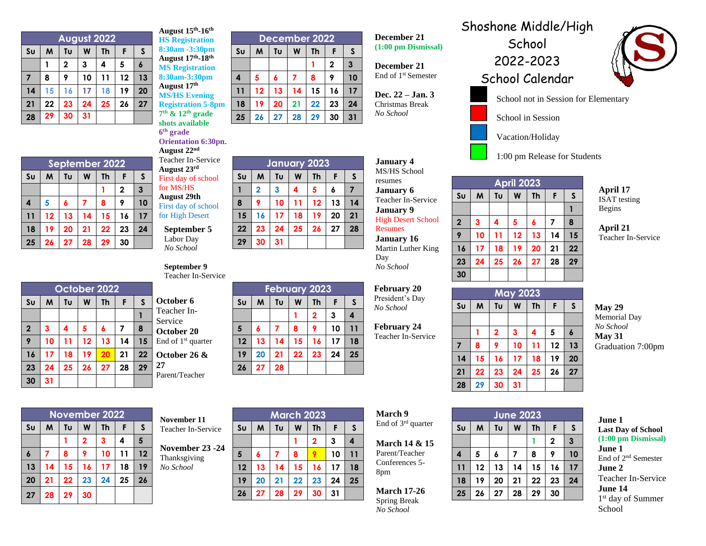|    | <b>August 2022</b> |              |    |           |    |              |  |  |  |  |  |
|----|--------------------|--------------|----|-----------|----|--------------|--|--|--|--|--|
| Su | M                  | Tυ           | W  | <b>Th</b> | F  | $\mathsf{s}$ |  |  |  |  |  |
|    |                    | $\mathbf{2}$ | 3  | 4         | 5  | 6            |  |  |  |  |  |
| 7  | 8                  | 9            | 10 | 11        | 12 | 13           |  |  |  |  |  |
| 14 | 15                 | 16           | 17 | 18        | 19 | 20           |  |  |  |  |  |
| 21 | 22                 | 23           | 24 | 25        | 26 | 27           |  |  |  |  |  |
| 28 | 29                 | 30           | 31 |           |    |              |  |  |  |  |  |

**August 15th -16 th HS Registration 8:30am -3:30pm August 17 th -18 th MS Registration 8:30am-3:30pm August 17 th MS/HS Evening Registration 5-8p 7 th & 12th grade shots available 6 th grade** 

|   | December 2022 |                   |    |    |    |              |    |  |  |
|---|---------------|-------------------|----|----|----|--------------|----|--|--|
|   | Sυ            | M                 | Tυ | W  | Th | F            | S. |  |  |
|   |               |                   |    |    |    | $\mathbf{2}$ | 3  |  |  |
|   | 4             | 5                 | 6  |    | 8  | 9            | 10 |  |  |
|   | 11            | $12 \overline{ }$ | 13 | 14 | 15 | 16           | 17 |  |  |
| m | 18            | 19                | 20 | 21 | 22 | 23           | 24 |  |  |
|   | 25            | 26                | 27 | 28 | 29 | 30           | 31 |  |  |

| September 2022   |                    |    |    |    |              |              |  |  |  |  |
|------------------|--------------------|----|----|----|--------------|--------------|--|--|--|--|
| S <sub>U</sub>   | M<br>W<br>Tυ<br>Th |    |    |    | F            | S            |  |  |  |  |
|                  |                    |    |    |    | $\mathbf{2}$ | $\mathbf{3}$ |  |  |  |  |
| $\boldsymbol{4}$ | 5                  | 6  |    | 8  | 9            | 10           |  |  |  |  |
| 11               | 12                 | 13 | 14 | 15 | 16           | 17           |  |  |  |  |
| 18               | 19                 | 20 | 21 | 22 | 23           | 24           |  |  |  |  |
| 25               | 26                 | 27 | 28 | 29 | 30           |              |  |  |  |  |

| <b>Orientation 6:30pm.</b> |
|----------------------------|
| August 22nd                |
| Teacher In-Service         |
| August 23rd                |
| First day of school        |
| for MS/HS                  |
| <b>August 29th</b>         |
| First day of school        |
| for High Desert            |

| September 5 |  |
|-------------|--|
| Labor Day   |  |
| No School   |  |

| September 9        |
|--------------------|
| Teacher In-Service |

|                |    |    |                 | October 2022 |    |              |                        |
|----------------|----|----|-----------------|--------------|----|--------------|------------------------|
| Su             | M  | Tυ | W               | Th           | F  | <sub>S</sub> | October 6              |
|                |    |    |                 |              |    |              | Teacher In-<br>Service |
| $\overline{2}$ | 3  | 4  | 5               | 6            | 7  | 8            | October 20             |
| 9              | 10 | 11 | 12 <sup>2</sup> | 13           | 14 | 15           | End of $1st$ qu        |
| 16             | 17 | 18 | 19              | 20           | 21 | 22           | October 26             |
| 23             | 24 | 25 | 26              | 27           | 28 | 29           | 27                     |
| 30             | 31 |    |                 |              |    |              | Parent/Teach           |

|    | UIIVI III                      |
|----|--------------------------------|
|    | Service                        |
| 8  | October 20                     |
| 15 | End of 1 <sup>st</sup> quarter |
| 22 | October 26 &                   |
| 29 | 27                             |
|    | Parent/Teacher                 |
|    |                                |
|    |                                |
|    |                                |

|     |    | <b>November 2022</b> |    |    |    |         | November 11                 |
|-----|----|----------------------|----|----|----|---------|-----------------------------|
| Su  | м  | Tυ                   | W  | Th |    | S       | Teacher In-Ser              |
|     |    |                      | 2  | 3  | 4  | 5       |                             |
|     |    | 8                    | 9  | 10 | 11 | $12 \,$ | November 2.<br>Thanksgiving |
| 13  | 14 | 15                   | 16 | 17 | 18 | 19      | No School                   |
| 20  | 21 | 22                   | 23 | 24 | 25 | 26      |                             |
| -27 | 28 | 29                   | 30 |    |    |         |                             |

|      | S <sub>U</sub> | M  | Tu | W  | <b>Th</b> | F  | S  |
|------|----------------|----|----|----|-----------|----|----|
|      |                |    |    |    | 2         | 3  | 4  |
|      | 5              | 6  | 7  | 8  | 9         | 10 | 11 |
| rter | 12             | 13 | 14 | 15 | 16        | 17 | 18 |
| &    | 19             | 20 | 21 | 22 | 23        | 24 | 25 |
|      | 26             | 27 | 28 |    |           |    |    |
| T    |                |    |    |    |           |    |    |
|      |                |    |    |    |           |    |    |

**29 30 31**

**February 2023**

**January 2023 Su M Tu W Th F S 2 3 4 5 6 7 9 10 11 12 13 14 16 17 18 19 20 21 23 24 25 26 27 28**

| ember 11                 | March 2023 |    |    |    |              |    |    |
|--------------------------|------------|----|----|----|--------------|----|----|
| her In-Service           | Su         | M  | Tυ | W  | Th           | F  |    |
|                          |            |    |    |    | $\mathbf{2}$ | 3  |    |
| ember 23 -24<br>ksgiving | 5          | 6  |    | 8  |              | 10 | 11 |
| chool                    | 12         | 13 | 14 | 15 | 16           | 17 | 18 |
|                          | 19         | 20 | 21 | 22 | 23           | 24 | 25 |
|                          | 26         | 27 | 28 | 29 | 30           | 31 |    |

### **December 21 (1:00 pm Dismissal)**

**December 21** End of 1 st Semester

**Dec. 22 – Jan. 3** Christmas Break *No School*

#### **January 4** MS/HS School

resumes **January 6** Teacher In-Service **January 9** Resumes **January 16** Martin Luther King Day

#### **Februa** President



| <b>June 2023</b> |                           |    |    |    |    |    |  |  |  |  |
|------------------|---------------------------|----|----|----|----|----|--|--|--|--|
| S <sub>U</sub>   | Tυ<br>M<br><b>Th</b><br>W |    | F  | S  |    |    |  |  |  |  |
|                  |                           |    |    |    | 2  | 3  |  |  |  |  |
| 4                | 5                         | 6  | 7  | 8  | 9  | 10 |  |  |  |  |
| 11               | 12                        | 13 | 14 | 15 | 16 | 17 |  |  |  |  |
| 18               | 19                        | 20 | 21 | 22 | 23 | 24 |  |  |  |  |
| 25               | 26                        | 27 | 28 | 29 | 30 |    |  |  |  |  |

| April 17            |
|---------------------|
| <b>ISAT</b> testing |
| Begins              |
|                     |

**April 21** Teacher In-Service

| <b>May 29</b>       |
|---------------------|
| <b>Memorial Day</b> |
| No School           |
| May 31              |
| Graduation 7:00pm   |
|                     |

| June 1                          |
|---------------------------------|
| <b>Last Day of School</b>       |
| $(1:00$ pm Dismissal)           |
| June 1                          |
| End of 2 <sup>nd</sup> Semester |
| June 2                          |
| Teacher In-Service              |
| June 14.                        |
| 1 <sup>st</sup> day of Summer   |
| School                          |
|                                 |

# School Calendar School not in Session for Elementary

|                 |    |    | <b>April 2023</b> |           |    |    |  |
|-----------------|----|----|-------------------|-----------|----|----|--|
| S <sub>U</sub>  | M  | Tυ | W                 | <b>Th</b> | F  | S  |  |
|                 |    |    |                   |           |    | 1  |  |
| $\overline{2}$  | 3  | 4  | 5                 | 6         | 7  | 8  |  |
| 9               | 10 | 11 | 12                | 13        | 14 | 15 |  |
| 16              | 17 | 18 | 19                | 20        | 21 | 22 |  |
| 23              | 24 | 25 | 26                | 27        | 28 | 29 |  |
| 30              |    |    |                   |           |    |    |  |
|                 |    |    |                   |           |    |    |  |
| <b>May 2023</b> |    |    |                   |           |    |    |  |

Teacher In-Service

School

|                  | 30             |
|------------------|----------------|
| ry 20<br>t's Day |                |
| ol               | S <sub>U</sub> |
|                  |                |

| uary 16          |    |  |
|------------------|----|--|
| rtin Luther King | 16 |  |
| School           | 23 |  |
|                  | 30 |  |
| muq              |    |  |

| High Desert S |
|---------------|
| Resumes       |
| January 16    |
| Martin Luthe  |

 $N<sub>O</sub>$ 

*No School*

**March 9** End of 3<sup>rd</sup> quarter

8pm

**March 14 & 15** Parent/Teacher Conferences 5-

**March 17-26** Spring Break *No School*

**February 24**

|  |    |    | <b>April 2023</b> |   |
|--|----|----|-------------------|---|
|  | Sυ | ſυ |                   | h |

| School in Session  |
|--------------------|
| Vacation/Holiday   |
| 1:00 pm Release fo |

|    |                   | Vacation/Holiday |   |   | 1:00 pm Release for Students |
|----|-------------------|------------------|---|---|------------------------------|
|    | <b>April 2023</b> |                  |   |   |                              |
| Tυ | W                 | Th               | F | S | Ľ                            |
|    |                   |                  |   |   | B                            |

| School |  |  |
|--------|--|--|

2022-2023

Shoshone Middle/High